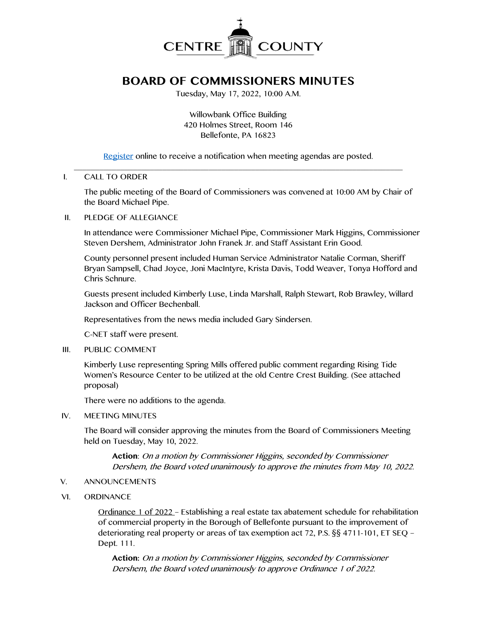

# **BOARD OF COMMISSIONERS MINUTES**

Tuesday, May 17, 2022, 10:00 A.M.

Willowbank Office Building 420 Holmes Street, Room 146 Bellefonte, PA 16823

[Register](http://www.centrecountypa.gov/AgendaCenter) online to receive a notification when meeting agendas are posted.

#### \_\_\_\_\_\_\_\_\_\_\_\_\_\_\_\_\_\_\_\_\_\_\_\_\_\_\_\_\_\_\_\_\_\_\_\_\_\_\_\_\_\_\_\_\_\_\_\_\_\_\_\_\_\_\_\_\_\_\_\_\_\_\_\_\_\_\_\_\_\_\_\_\_\_\_\_\_\_ I. CALL TO ORDER

The public meeting of the Board of Commissioners was convened at 10:00 AM by Chair of the Board Michael Pipe.

## II. PLEDGE OF ALLEGIANCE

In attendance were Commissioner Michael Pipe, Commissioner Mark Higgins, Commissioner Steven Dershem, Administrator John Franek Jr. and Staff Assistant Erin Good.

County personnel present included Human Service Administrator Natalie Corman, Sheriff Bryan Sampsell, Chad Joyce, Joni MacIntyre, Krista Davis, Todd Weaver, Tonya Hofford and Chris Schnure.

Guests present included Kimberly Luse, Linda Marshall, Ralph Stewart, Rob Brawley, Willard Jackson and Officer Bechenball.

Representatives from the news media included Gary Sindersen.

C-NET staff were present.

III. PUBLIC COMMENT

Kimberly Luse representing Spring Mills offered public comment regarding Rising Tide Women's Resource Center to be utilized at the old Centre Crest Building. (See attached proposal)

There were no additions to the agenda.

IV. MEETING MINUTES

The Board will consider approving the minutes from the Board of Commissioners Meeting held on Tuesday, May 10, 2022.

**Action**: On a motion by Commissioner Higgins, seconded by Commissioner Dershem, the Board voted unanimously to approve the minutes from May 10, 2022.

- V. ANNOUNCEMENTS
- VI. ORDINANCE

Ordinance 1 of 2022 – Establishing a real estate tax abatement schedule for rehabilitation of commercial property in the Borough of Bellefonte pursuant to the improvement of deteriorating real property or areas of tax exemption act 72, P.S. §§ 4711-101, ET SEQ – Dept. 111.

**Action:** On a motion by Commissioner Higgins, seconded by Commissioner Dershem, the Board voted unanimously to approve Ordinance 1 of 2022.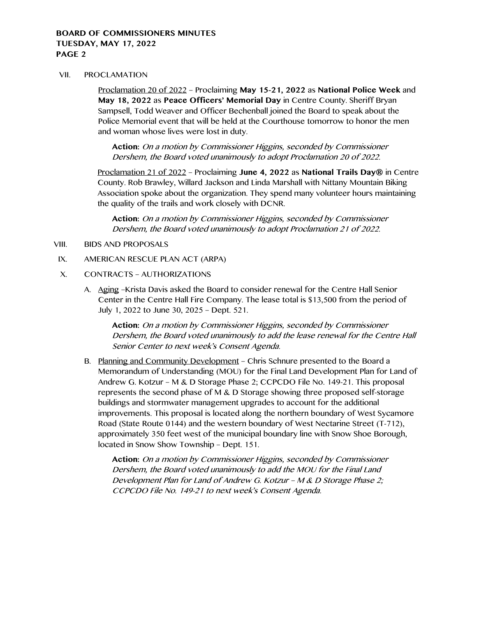#### VII. PROCLAMATION

Proclamation 20 of 2022 – Proclaiming **May 15-21, 2022** as **National Police Week** and **May 18, 2022** as **Peace Officers' Memorial Day** in Centre County. Sheriff Bryan Sampsell, Todd Weaver and Officer Bechenball joined the Board to speak about the Police Memorial event that will be held at the Courthouse tomorrow to honor the men and woman whose lives were lost in duty.

**Action:** On a motion by Commissioner Higgins, seconded by Commissioner Dershem, the Board voted unanimously to adopt Proclamation 20 of 2022.

Proclamation 21 of 2022 – Proclaiming **June 4, 2022** as **National Trails Day®** in Centre County. Rob Brawley, Willard Jackson and Linda Marshall with Nittany Mountain Biking Association spoke about the organization. They spend many volunteer hours maintaining the quality of the trails and work closely with DCNR.

**Action:** On a motion by Commissioner Higgins, seconded by Commissioner Dershem, the Board voted unanimously to adopt Proclamation 21 of 2022.

VIII. BIDS AND PROPOSALS

#### IX. AMERICAN RESCUE PLAN ACT (ARPA)

- X. CONTRACTS AUTHORIZATIONS
	- A. Aging –Krista Davis asked the Board to consider renewal for the Centre Hall Senior Center in the Centre Hall Fire Company. The lease total is \$13,500 from the period of July 1, 2022 to June 30, 2025 – Dept. 521.

**Action:** On a motion by Commissioner Higgins, seconded by Commissioner Dershem, the Board voted unanimously to add the lease renewal for the Centre Hall Senior Center to next week's Consent Agenda.

B. Planning and Community Development – Chris Schnure presented to the Board a Memorandum of Understanding (MOU) for the Final Land Development Plan for Land of Andrew G. Kotzur – M & D Storage Phase 2; CCPCDO File No. 149-21. This proposal represents the second phase of M & D Storage showing three proposed self-storage buildings and stormwater management upgrades to account for the additional improvements. This proposal is located along the northern boundary of West Sycamore Road (State Route 0144) and the western boundary of West Nectarine Street (T-712), approximately 350 feet west of the municipal boundary line with Snow Shoe Borough, located in Snow Show Township – Dept. 151.

**Action:** On a motion by Commissioner Higgins, seconded by Commissioner Dershem, the Board voted unanimously to add the MOU for the Final Land Development Plan for Land of Andrew G. Kotzur – M & D Storage Phase 2; CCPCDO File No. 149-21 to next week's Consent Agenda.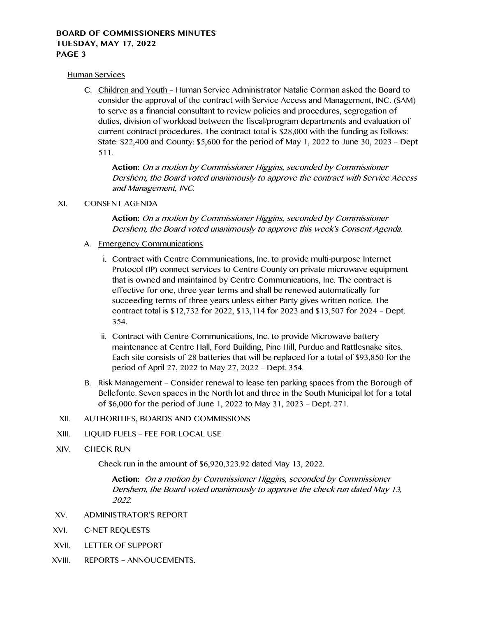#### Human Services

C. Children and Youth – Human Service Administrator Natalie Corman asked the Board to consider the approval of the contract with Service Access and Management, INC. (SAM) to serve as a financial consultant to review policies and procedures, segregation of duties, division of workload between the fiscal/program departments and evaluation of current contract procedures. The contract total is \$28,000 with the funding as follows: State: \$22,400 and County: \$5,600 for the period of May 1, 2022 to June 30, 2023 – Dept 511.

**Action:** On a motion by Commissioner Higgins, seconded by Commissioner Dershem, the Board voted unanimously to approve the contract with Service Access and Management, INC.

## XI. CONSENT AGENDA

**Action:** On a motion by Commissioner Higgins, seconded by Commissioner Dershem, the Board voted unanimously to approve this week's Consent Agenda.

- A. Emergency Communications
	- i. Contract with Centre Communications, Inc. to provide multi-purpose Internet Protocol (IP) connect services to Centre County on private microwave equipment that is owned and maintained by Centre Communications, Inc. The contract is effective for one, three-year terms and shall be renewed automatically for succeeding terms of three years unless either Party gives written notice. The contract total is \$12,732 for 2022, \$13,114 for 2023 and \$13,507 for 2024 – Dept. 354.
	- ii. Contract with Centre Communications, Inc. to provide Microwave battery maintenance at Centre Hall, Ford Building, Pine Hill, Purdue and Rattlesnake sites. Each site consists of 28 batteries that will be replaced for a total of \$93,850 for the period of April 27, 2022 to May 27, 2022 – Dept. 354.
- B. Risk Management Consider renewal to lease ten parking spaces from the Borough of Bellefonte. Seven spaces in the North lot and three in the South Municipal lot for a total of \$6,000 for the period of June 1, 2022 to May 31, 2023 – Dept. 271.
- XII. AUTHORITIES, BOARDS AND COMMISSIONS
- XIII. LIQUID FUELS FEE FOR LOCAL USE
- XIV. CHECK RUN

Check run in the amount of \$6,920,323.92 dated May 13, 2022.

**Action:** On a motion by Commissioner Higgins, seconded by Commissioner Dershem, the Board voted unanimously to approve the check run dated May 13, 2022.

- XV. ADMINISTRATOR'S REPORT
- XVI. C-NET REQUESTS
- XVII. LETTER OF SUPPORT
- XVIII. REPORTS ANNOUCEMENTS.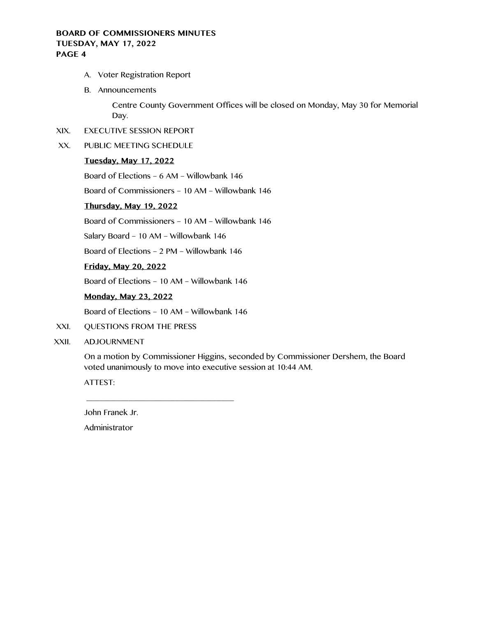- A. Voter Registration Report
- B. Announcements

Centre County Government Offices will be closed on Monday, May 30 for Memorial Day.

- XIX. EXECUTIVE SESSION REPORT
- XX. PUBLIC MEETING SCHEDULE

## **Tuesday, May 17, 2022**

Board of Elections – 6 AM – Willowbank 146

Board of Commissioners – 10 AM – Willowbank 146

# **Thursday, May 19, 2022**

Board of Commissioners – 10 AM – Willowbank 146

Salary Board – 10 AM – Willowbank 146

Board of Elections – 2 PM – Willowbank 146

## **Friday, May 20, 2022**

Board of Elections – 10 AM – Willowbank 146

# **Monday, May 23, 2022**

Board of Elections – 10 AM – Willowbank 146

 $\overline{\phantom{a}}$  , and the contract of the contract of the contract of the contract of the contract of the contract of the contract of the contract of the contract of the contract of the contract of the contract of the contrac

- XXI. QUESTIONS FROM THE PRESS
- XXII. ADJOURNMENT

On a motion by Commissioner Higgins, seconded by Commissioner Dershem, the Board voted unanimously to move into executive session at 10:44 AM.

ATTEST:

John Franek Jr.

Administrator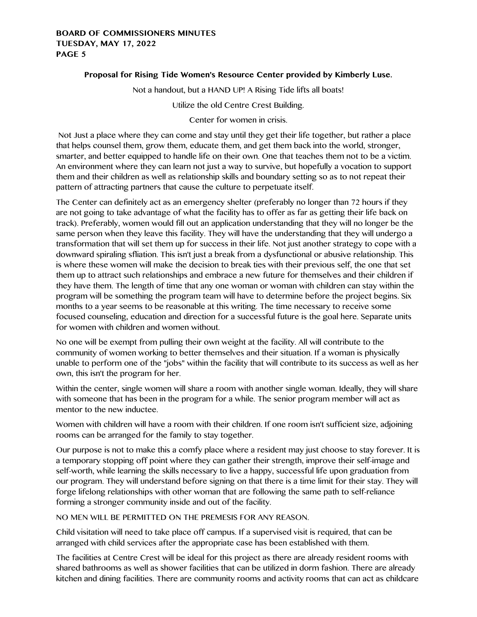# **Proposal for Rising Tide Women's Resource Center provided by Kimberly Luse.**

Not a handout, but a HAND UP! A Rising Tide lifts all boats!

Utilize the old Centre Crest Building.

Center for women in crisis.

Not Just a place where they can come and stay until they get their life together, but rather a place that helps counsel them, grow them, educate them, and get them back into the world, stronger, smarter, and better equipped to handle life on their own. One that teaches them not to be a victim. An environment where they can learn not just a way to survive, but hopefully a vocation to support them and their children as well as relationship skills and boundary setting so as to not repeat their pattern of attracting partners that cause the culture to perpetuate itself.

The Center can definitely act as an emergency shelter (preferably no longer than 72 hours if they are not going to take advantage of what the facility has to offer as far as getting their life back on track). Preferably, women would fill out an application understanding that they will no longer be the same person when they leave this facility. They will have the understanding that they will undergo a transformation that will set them up for success in their life. Not just another strategy to cope with a downward spiraling sfliation. This isn't just a break from a dysfunctional or abusive relationship. This is where these women will make the decision to break ties with their previous self, the one that set them up to attract such relationships and embrace a new future for themselves and their children if they have them. The length of time that any one woman or woman with children can stay within the program will be something the program team will have to determine before the project begins. Six months to a year seems to be reasonable at this writing. The time necessary to receive some focused counseling, education and direction for a successful future is the goal here. Separate units for women with children and women without.

No one will be exempt from pulling their own weight at the facility. All will contribute to the community of women working to better themselves and their situation. If a woman is physically unable to perform one of the "jobs" within the facility that will contribute to its success as well as her own, this isn't the program for her.

Within the center, single women will share a room with another single woman. Ideally, they will share with someone that has been in the program for a while. The senior program member will act as mentor to the new inductee.

Women with children will have a room with their children. If one room isn't sufficient size, adjoining rooms can be arranged for the family to stay together.

Our purpose is not to make this a comfy place where a resident may just choose to stay forever. It is a temporary stopping off point where they can gather their strength, improve their self-image and self-worth, while learning the skills necessary to live a happy, successful life upon graduation from our program. They will understand before signing on that there is a time limit for their stay. They will forge lifelong relationships with other woman that are following the same path to self-reliance forming a stronger community inside and out of the facility.

NO MEN WILL BE PERMITTED ON THE PREMESIS FOR ANY REASON.

Child visitation will need to take place off campus. If a supervised visit is required, that can be arranged with child services after the appropriate case has been established with them.

The facilities at Centre Crest will be ideal for this project as there are already resident rooms with shared bathrooms as well as shower facilities that can be utilized in dorm fashion. There are already kitchen and dining facilities. There are community rooms and activity rooms that can act as childcare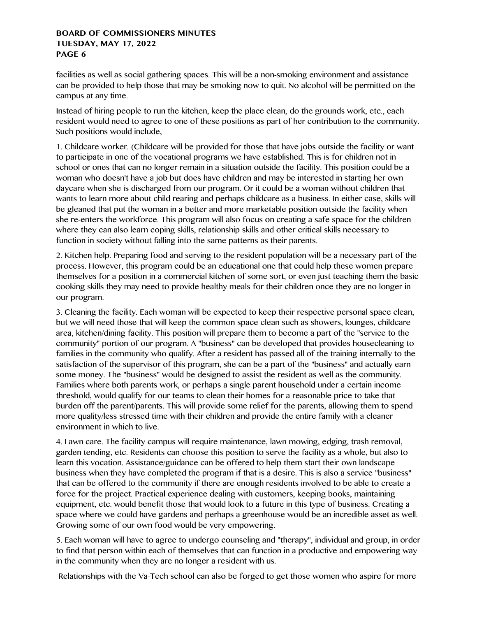facilities as well as social gathering spaces. This will be a non-smoking environment and assistance can be provided to help those that may be smoking now to quit. No alcohol will be permitted on the campus at any time.

Instead of hiring people to run the kitchen, keep the place clean, do the grounds work, etc., each resident would need to agree to one of these positions as part of her contribution to the community. Such positions would include,

1. Childcare worker. (Childcare will be provided for those that have jobs outside the facility or want to participate in one of the vocational programs we have established. This is for children not in school or ones that can no longer remain in a situation outside the facility. This position could be a woman who doesn't have a job but does have children and may be interested in starting her own daycare when she is discharged from our program. Or it could be a woman without children that wants to learn more about child rearing and perhaps childcare as a business. In either case, skills will be gleaned that put the woman in a better and more marketable position outside the facility when she re-enters the workforce. This program will also focus on creating a safe space for the children where they can also learn coping skills, relationship skills and other critical skills necessary to function in society without falling into the same patterns as their parents.

2. Kitchen help. Preparing food and serving to the resident population will be a necessary part of the process. However, this program could be an educational one that could help these women prepare themselves for a position in a commercial kitchen of some sort, or even just teaching them the basic cooking skills they may need to provide healthy meals for their children once they are no longer in our program.

3. Cleaning the facility. Each woman will be expected to keep their respective personal space clean, but we will need those that will keep the common space clean such as showers, lounges, childcare area, kitchen/dining facility. This position will prepare them to become a part of the ''service to the community" portion of our program. A "business" can be developed that provides housecleaning to families in the community who qualify. After a resident has passed all of the training internally to the satisfaction of the supervisor of this program, she can be a part of the "business" and actually earn some money. The "business" would be designed to assist the resident as well as the community. Families where both parents work, or perhaps a single parent household under a certain income threshold, would qualify for our teams to clean their homes for a reasonable price to take that burden off the parent/parents. This will provide some relief for the parents, allowing them to spend more quality/less stressed time with their children and provide the entire family with a cleaner environment in which to live.

4. Lawn care. The facility campus will require maintenance, lawn mowing, edging, trash removal, garden tending, etc. Residents can choose this position to serve the facility as a whole, but also to learn this vocation. Assistance/guidance can be offered to help them start their own landscape business when they have completed the program if that is a desire. This is also a service "business" that can be offered to the community if there are enough residents involved to be able to create a force for the project. Practical experience dealing with customers, keeping books, maintaining equipment, etc. would benefit those that would look to a future in this type of business. Creating a space where we could have gardens and perhaps a greenhouse would be an incredible asset as well. Growing some of our own food would be very empowering.

5. Each woman will have to agree to undergo counseling and "therapy", individual and group, in order to find that person within each of themselves that can function in a productive and empowering way in the community when they are no longer a resident with us.

Relationships with the Va-Tech school can also be forged to get those women who aspire for more